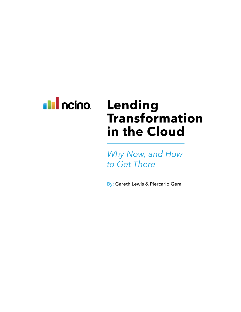

# **Lending Transformation in the Cloud**

*Why Now, and How to Get There*

By: Gareth Lewis & Piercarlo Gera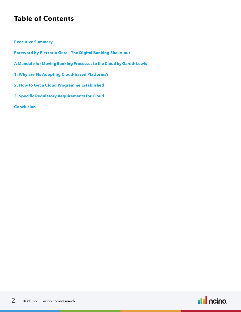# **Table of Contents**

#### **Executive Summary**

- **Foreword by Piercarlo Gera The Digital Banking Shake-out**
- **A Mandate for Moving Banking Processes to the Cloud by Gareth Lewis**
- **1. Why are FIs Adopting Cloud-based Platforms?**
- **2. How to Get a Cloud Programme Established**
- **3. Specific Regulatory Requirements for Cloud**

#### **Conclusion**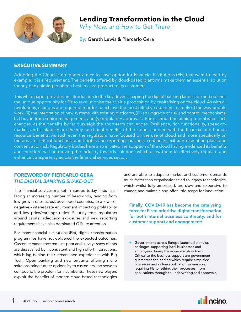

# **Lending Transformation in the Cloud**

*Why Now, and How to Get There*

By: Gareth Lewis & Piercarlo Gera

### **EXECUTIVE SUMMARY**

Adopting the Cloud is no longer a nice-to-have option for Financial Institutions (FIs) that want to lead by example; it is a requirement. The benefits offered by cloud-based platforms make them an essential solution for any bank aiming to offer a best in class product to its customers.

This white paper provides an introduction to the key drivers shaping the digital banking landscape and outlines the unique opportunity for FIs to revolutionise their value proposition by capitalising on the cloud. As with all revolutions, changes are required in order to achieve the most effective outcome, namely (i) the way people work, (ii) the integration of new systems with existing platforms, (iii) an upgrade of risk and control mechanisms, (iv) buy-in from senior management, and (v) regulatory approvals. Banks should be aiming to embrace such changes, as the benefits by far outweigh the short-term challenges. Resilience, rich functionality, speed-tomarket, and scalability are the key functional benefits of the cloud, coupled with the financial and human resource benefits. As such even the regulators have focused on the use of cloud and more specifically on the areas of critical functions, audit rights and reporting, business continuity, exit and resolution plans and concentration risk. Regulatory bodies have also initiated the adoption of the cloud having evidenced its benefits and therefore will be moving the industry towards solutions which allow them to effectively regulate and enhance transparency across the financial services sector.

## **FOREWORD BY PIERCARLO GERA**  *THE DIGITAL BANKING SHAKE-OUT*

The financial services market in Europe today finds itself facing an increasing number of headwinds, ranging from low growth rates across developed countries, to a low - or negative - interest rate environment impacting profitability and low price/earnings ratios. Scrutiny from regulators around capital adequacy, exposures and new reporting requirements have also dominated C-Suite attention.

For many financial institutions (FIs), digital transformation programmes have not delivered the expected outcomes. Customer experience remains poor and surveys show clients are dissatisfied by inconsistent and high effort interactions, which lag behind their streamlined experiences with Big Tech. Open banking and new entrants offering niche solutions bring further optionality to customers and serve to compound the problem for incumbents. These new players exploit the benefits of modern cloud-based technologies

and are able to adapt to market and customer demands much faster than organisations tied to legacy technologies, which whilst fully amortised, are slow and expensive to change and maintain and offer little scope for innovation.

**Finally, COVID-19 has become the catalysing force for FIs to prioritise digital transformation for both internal business continuity, and for customer support and engagement:** 

• Governments across Europe launched stimulus packages supporting local businesses and employees during the economic slowdown. Critical to the business support are government guarantees for lending which require simplified processes and online application submission, requiring FIs to rethink their processes, from applications through to underwriting and approvals,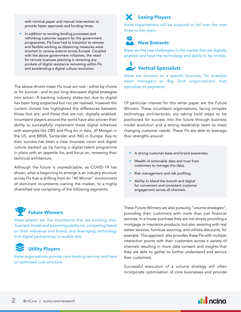with minimal paper and manual intervention to provide faster approvals and funding times.

• In addition to revising lending processes and rethinking customer support for the government programmes, FIs have had to transition to remote and flexible working as distancing measures were enacted to various extents across Europe. Coupled with the above government initiatives, the need for remote business planning is removing any pockets of digital resistance remaining within FIs and accelerating a digital culture revolution.

The above drivers mean FIs must act now - either by choice or for survival - and to put long-discussed digital strategies into action. A banking industry shake-out due to digital has been long suspected but not yet realised, however the current climate has highlighted the differences between those that are, and those that are not, digitally enabled. Incumbent players around the world have also proven their ability to successfully implement these digital initiatives with examples like DBS and Ping An in Asia, JP Morgan in the US, and BBVA, Santander and ING in Europe. Key to their success has been a clear business vision and digital culture backed up by having a digital talent programme in place with an appetite for, and focus on, renewing their technical architecture.

Although the future is unpredictable, as COVID-19 has shown, what is beginning to emerge is an industry structure across FIs that is shifting from an "All Winner" environment of dominant incumbents owning the market, to a highly diversified one comprising of the following segments:

#### **Future Winners** Ŧ

these players are the incumbents that are evolving their `business model and becoming platforms, competing based on their relevance and brand, and leveraging technology and digital partnerships to enable this.



these organisations provide core banking services and have an optimised cost structure.

#### **Losing Players** X

these organisations will be acquired or fail over the next three to five years.

#### **New Entrants**  $\boldsymbol{\delta}$

these are the new challengers to the market that are digitally enabled and have the technology and ability to be nimble.

# **Vertical Specialists**

these are focused on a specific business, for example asset managers or Big Tech organisations that specialise on payments.

Of particular interest for this white paper are the Future Winners. These incumbent organisations, facing complex technology architectures, are taking bold steps to be positioned for success into the future through business model evolution and a strong leadership team to meet changing customer needs. These FIs are able to leverage their strengths around:

- A strong customer base and brand awareness;
- Wealth of actionable data and trust from customers to manage this data;
- Risk management and risk profiling;
- Ability to blend the branch and digital for convenient and consistent customer engagement across all channels.

These Future Winners are also pursuing "volume strategies", providing their customers with more than just financial services. In a house purchase they are not simply providing a mortgage or insurance products, but also assisting with real estate services, furniture sourcing, and utilities discounts, for example. This approach also provides these FIs with multiple interaction points with their customers across a variety of channels resulting in more data consent and insights that they are able to gather to further understand and service their customers.

Successful execution of a volume strategy will often incorporate optimisation of core businesses and provide

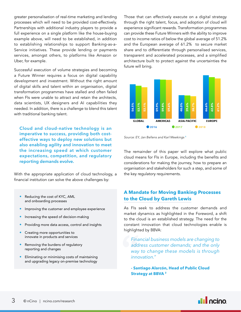greater personalisation of real-time marketing and lending processes which will need to be provided cost-effectively. Partnerships with additional industry players to provide a full experience on a single platform like the house-buying example above, will need to be established, in addition to establishing relationships to support Banking-as-a-Service initiatives. These provide lending or payments services, amongst others, to platforms like Amazon or Uber, for example.

Successful execution of volume strategies and becoming a Future Winner requires a focus on digital capability development and investment. Without the right amount of digital skills and talent within an organisation, digital transformation programmes have stalled and often failed when FIs were unable to attract and retain the architects, data scientists, UX designers and AI capabilities they needed. In addition, there is a challenge to blend this talent with traditional banking talent.

**Cloud and cloud-native technology is an imperative to success, providing both costeffective ways to deploy new solutions but also enabling agility and innovation to meet the increasing speed at which customer expectations, competition, and regulatory reporting demands evolve.** 

With the appropriate application of cloud technology, a financial institution can solve the above challenges by:

- Reducing the cost of KYC, AML and onboarding processes
- Improving the customer and employee experience
- Increasing the speed of decision-making
- Providing more data access, control and insights
- Creating more opportunities to innovate in products and services
- Removing the burdens of regulatory reporting and changes
- Eliminating or minimising costs of maintaining and upgrading legacy on-premise technology

Those that can effectively execute on a digital strategy through the right talent, focus, and adoption of cloud will experience significant rewards. Transformation programmes can provide these Future Winners with the ability to improve cost to income ratios of below the global average of 51.2% and the European average of 61.2% to secure market share and to differentiate through personalised services, transparent and accelerated processes, and a simplified architecture built to protect against the uncertainties the future will bring.



*Source: EY, Jan Bellens and Karl Meekings* <sup>1</sup>

The remainder of this paper will explore what public cloud means for FIs in Europe, including the benefits and considerations for making the journey, how to prepare an organisation and stakeholders for such a step, and some of the key regulatory requirements.

# **A Mandate for Moving Banking Processes to the Cloud by Gareth Lewis**

As FIs seek to address the customer demands and market dynamics as highlighted in the Foreword, a shift to the cloud is an established strategy. The need for the constant innovation that cloud technologies enable is highlighted by BBVA:

" *Financial business models are changing to address customer demands; and the only way to change these models is through innovation."*

**- Santiago Alarcón, Head of Public Cloud Strategy at BBVA** 2

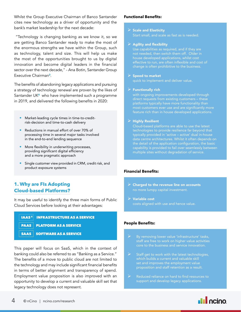Whilst the Group Executive Chairman of Banco Santander cites new technology as a driver of opportunity and the bank's market leadership for the next decade:

 "Technology is changing banking as we know it, so we are getting Banco Santander ready to make the most of the enormous strengths we have within the Group, such as technology, talent and size. This will help us make the most of the opportunities brought to us by digital innovation and become digital leaders in the financial sector over the next decade," - Ana Botin, Santander Group Executive Chairman<sup>3</sup>.

The benefits of abandoning legacy applications and pursuing a strategy of technology renewal are proven by the likes of Santander UK<sup>4</sup> who have implemented such a programme in 2019, and delivered the following benefits in 2020:

- Market-leading cycle times in time-to-creditrisk-decision and time-to-cash delivery
- Reductions in manual effort of over 70% of processing time in several major tasks involved in the end-to-end lending sequence
- More flexibility in underwriting processes, providing significant digital efficiency and a more pragmatic approach
- Single customer view provided in CRM, credit risk, and product exposure systems

# **1. Why are FIs Adopting Cloud-based Platforms?**

It may be useful to identify the three main forms of Public Cloud Services before looking at their advantages:

| IAAS 5 INFRASTRUCTURE AS A SERVICE |
|------------------------------------|
|                                    |

PAAS PLATFORM AS A SERVICE

SAAS SOFTWARE AS A SERVICE

This paper will focus on SaaS, which in the context of banking could also be referred to as "Banking as a Service." The benefits of a move to public cloud are not limited to the technology and may include significant financial benefits in terms of better alignment and transparency of spend. Employment value proposition is also improved with an opportunity to develop a current and valuable skill set that legacy technology does not represent.

#### **Functional Benefits:**

#### $\triangleright$  Scale and Elasticity

Start small, and scale as fast as is needed.

#### $\triangleright$  Agility and flexibility

Use capabilities as required, and if they are not needed, then switch them off. Older in house developed applications, whilst cost effective to run, are often inflexible and cost of change is often prohibitive to the business.

#### $\triangleright$  Speed to market

quick to implement and deliver value.

#### $\triangleright$  Functionally rich

with ongoing improvements developed through direct requests from existing customers – these feature rich than in house developed applications.

#### $\triangleright$  Highly Resilient

technologies to provide resilience far beyond that typically provided in 'active – active' dual in-house data centre architectures. Whilst it often depends on the detail of the application configuration, the basic multiple sites without degradation of service.

#### **Financial Benefits:**

- $\triangleright$  Charged to the revenue line on accounts no more lumpy capital investment.
- $\triangleright$  Variable cost costs aligned with use and hence value.

#### **People Benefits:**

- staff are free to work on higher value activities
- $\triangleright$  Staff get to work with the latest technologies, which builds a current and valuable skill set and improves the employment value proposition and staff retention as a result.
- $\triangleright$  Reduced reliance on hard to find resources to support and develop legacy applications.

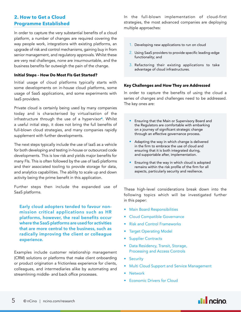# **2. How to Get a Cloud Programme Established**

In order to capture the very substantial benefits of a cloud platform, a number of changes are required covering the way people work, integrations with existing platforms, an upgrade of risk and control mechanisms, gaining buy in from senior management, and regulatory approvals. Whilst these are very real challenges, none are insurmountable, and the business benefits far outweigh the pain of the change.

#### **Initial Steps – How Do Most FIs Get Started?**

Initial usage of cloud platforms typically starts with some developments on in-house cloud platforms, some usage of SaaS applications, and some experiments with IaaS providers.

Private cloud is certainly being used by many companies today and is characterised by virtualisation of the infrastructure through the use of a hypervisor<sup>6</sup>. Whilst a useful initial step, it does not bring the full benefits of full-blown cloud strategies, and many companies rapidly supplement with further developments.

The next steps typically include the use of IaaS as a vehicle for both developing and testing in-house or outsourced code developments. This is low risk and yields major benefits for many FIs. This is often followed by the use of IaaS platforms and their associated tooling to provide storage for data, and analytics capabilities. The ability to scale up and down activity being the prime benefit in this application.

Further steps then include the expanded use of SaaS platforms.

**Early cloud adopters tended to favour nonmission critical applications such as HR platforms, however, the real benefits occur where the SaaS platforms are used for activities that are more central to the business, such as radically improving the client or colleague experience.**

Examples include customer relationship management (CRM) solutions or platforms that make client onboarding or product origination a frictionless experience for clients, colleagues, and intermediaries alike by automating and streamlining middle- and back office processes.

In the full-blown implementation of cloud-first strategies, the most advanced companies are deploying multiple approaches:

- 1. Developing new applications to run on cloud
- 2. Using SaaS providers to provide specific leading-edge functionality; and
- 3. Refactoring their existing applications to take advantage of cloud infrastructures.

#### **Key Challenges and How They are Addressed**

In order to capture the benefits of using the cloud a series of changes and challenges need to be addressed. The key ones are:

- Ensuring that the Main or Supervisory Board and the Regulators are comfortable with embarking on a journey of significant strategic change through an effective governance process.
- Adapting the way in which change is delivered in the firm to embrace the use of cloud and ensuring that it is both integrated during, and supportable after, implementation.
- Ensuring that the way in which cloud is adopted remains within the risk profile of the firm for all aspects, particularly security and resilience.

These high-level considerations break down into the following topics which will be investigated further in this paper:

- Main Board Responsibilities
- Cloud Compatible Governance
- Risk and Control Frameworks
- **Target Operating Model**
- **Supplier Contracts**
- Data Residency, Transit, Storage, Processing and Access Controls
- Security
- Multi Cloud Support and Service Management
- **Network**
- Economic Drivers for Cloud

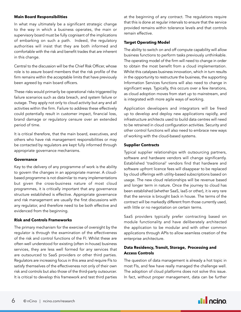#### **Main Board Responsibilities**

In what may ultimately be a significant strategic change to the way in which a business operates, the main or supervisory board must be fully cognisant of the implications of embarking on such a path. Indeed, the regulatory authorities will insist that they are both informed and comfortable with the risk and benefit trades that are inherent in this change.

Central to the discussion will be the Chief Risk Officer, whose role is to assure board members that the risk profile of the firm remains within the acceptable limits that have previously been agreed by main board officers.

These risks would primarily be operational risks triggered by failure scenarios such as data breach, and system failure or outage. They apply not only to cloud activity but any and all activities within the firm. Failure to address these effectively could potentially result in customer impact, financial loss, brand damage or regulatory censure over an extended period of time.

It is critical therefore, that the main board, executives, and others who have risk management responsibilities or may be contacted by regulators are kept fully informed through appropriate governance mechanisms.

#### **Governance**

Key to the delivery of any programme of work is the ability to govern the changes in an appropriate manner. A cloudbased programme is not dissimilar to many implementations but given the cross-business nature of most cloud programmes, it is critically important that any governance structure established is effective. Appropriate governance and risk management are usually the first discussions with any regulator, and therefore need to be both effective and evidenced from the beginning.

#### **Risk and Controls Frameworks**

The primary mechanism for the exercise of oversight by the regulator is through the examination of the effectiveness of the risk and control functions of the FI. Whilst these are often well understood for existing (often in-house) business services, they are less well formed for any services that are outsourced to SaaS providers or other third parties. Regulators are increasing focus in this area and require FIs to satisfy themselves of the effectiveness not only of their own risk and controls but also those of the third-party outsourcer. It is critical to develop this framework and test third parties

at the beginning of any contract. The regulations require that this is done at regular intervals to ensure that the service provided remains within tolerance levels and that controls remain effective.

#### **Target Operating Model**

The ability to switch on and off compute capability will allow business functions to perform tasks previously unthinkable. The operating model of the firm will need to change in order to obtain the most benefit from a cloud implementation. Whilst this catalyses business innovation, which in turn results in the opportunity to restructure the business, the supporting Information Services functions will also need to change in significant ways. Typically, this occurs over a few iterations, as cloud adoption moves from start up to mainstream, and is integrated with more agile ways of working.

Application developers and integrators will be freed up to develop and deploy new applications rapidly, and infrastructure architects used to build data centres will need to be retrained in cloud configuration activities. Security and other control functions will also need to embrace new ways of working with the cloud-based systems.

#### **Supplier Contracts**

Typical supplier relationships with outsourcing partners, software and hardware vendors will change significantly. Established 'traditional' vendors find that hardware and software upfront licence fees will disappear to be replaced by cloud offerings with utility-based subscriptions based on usage. The new cloud relationships will be revenue based and longer term in nature. Once the journey to cloud has been established (whether SaaS, IaaS or other), it is very rare that the service is brought back in house. The terms of the contract will be markedly different from those currently used, with little or no negotiation on certain terms.

SaaS providers typically prefer contracting based on module functionality and have deliberately architected the application to be modular and with other common applications through APIs to allow seamless creation of the enterprise architecture.

#### **Data Residency, Transit, Storage, Processing and Access Controls**

The question of data management is already a hot topic in most FIs, and few have really managed the challenge well. The adoption of cloud platforms does not solve this issue. In fact, without proper management, data can be further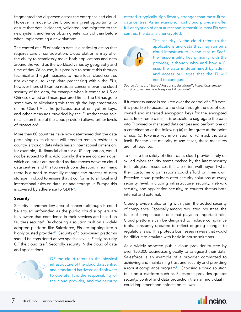fragmented and dispersed across the enterprise and cloud. However, a move to the Cloud is a great opportunity to ensure that data is cleaned, validated, and migrated to the new system, and hence obtain greater control than before when implementing a new platform.

The control of a FI or nation's data is a critical question that requires careful consideration. Cloud platforms may offer the ability to seamlessly move both applications and data around the world as the workload varies by geography and time of day. Of course, it is possible to restrict this through technical and legal measures to more local cloud centres (for example, to keep data processing within the EU), however there still can be residual concerns over the cloud security of the data, for example when it comes to US or Chinese owned and headquartered firms. The US has gone some way to alleviating this through the implementation of the Cloud Act, the judicious use of encryption keys, and other measures provided by the FI (rather than sole reliance on those of the cloud provider) allows further levels of protection7.

More than 80 countries have now determined that the data pertaining to its citizens will need to remain resident in country, although data which has an international dimension, for example, UK financial data for a US corporation, would not be subject to this. Additionally, there are concerns over which countries are transited as data moves between cloud data centres, and this too needs consideration. In summary, there is a need to carefully manage the process of data storage in cloud to ensure that it conforms to all local and international rules on data use and storage. In Europe this is covered by adherence to GDPR<sup>8</sup>.

#### **Security**

Security is another key area of concern although it could be argued unfounded as the public cloud suppliers are fully aware that confidence in their services are based on faultless security<sup>9</sup>. By choosing a solution built on a widely adopted platform like Salesforce, FIs are tapping into a highly trusted provider<sup>10</sup>. Security of cloud-based platforms should be considered at two specific levels. Firstly, security OF the cloud itself. Secondly, security IN the cloud of data and applications.



OF the cloud refers to the physical infrastructure of the cloud datacentre, and associated hardware and software to operate. It is the responsibility of the cloud provider, and the security

offered is typically significantly stronger than most firms' data centres. As an example, most cloud providers offer full encryption of data at rest and in transit. In most FIs data centres, the data is unencrypted.



The security IN the cloud refers to the applications and data that may run on a cloud infrastructure. In the case of SaaS, the responsibility lies primarily with the provider, although who and how a FI uses the data is determined by admin and access privileges that the FI will need to configure.

*Source: Amazon, "Shared Responsibility Model", https://aws.amazon. com/compliance/shared-responsibility-model/*

If further assurance is required over the control of a FI's data, it is possible to access to the data through the use of user owned and managed encryption keys for the encrypted data. In extreme cases, it is possible to segregate the data into FI owned or managed data centres and perform one or a combination of the following (a) re-integrate at the point of use, (b) tokenise key information or (c) mask the data itself. For the vast majority of use cases, these measures are not required.

To ensure the safety of client data, cloud providers rely on skilled cyber security teams backed by the latest security technologies - resources that are often well beyond what their customer organisations could afford on their own. Effective cloud providers offer security solutions at every security level, including infrastructure security, network security, and application security, to counter threats both internal and external.

Cloud providers also bring with them the added security of compliance. Especially among regulated industries, the issue of compliance is one that plays an important role. Cloud platforms can be designed to include compliance tools, constantly updated to reflect ongoing changes to regulatory laws. This protects businesses in ways that would be difficult to emulate with basic in-house solutions.

As a widely adopted public cloud provider trusted by over 150,000 businesses globally to safeguard their data, Salesforce is an example of a provider committed to achieving and maintaining trust and security and providing a robust compliance program<sup>11</sup>. Choosing a cloud solution built on a platform such as Salesforce provides greater security, control and data protection than an individual FI could implement and enforce on its own.

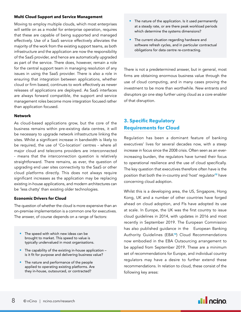#### **Multi Cloud Support and Service Management**

Moving to employ multiple clouds, which most enterprises will settle on as a model for enterprise operation, requires that these are capable of being supported and managed effectively. Use of a SaaS service effectively alleviates the majority of the work from the existing support teams, as both infrastructure and the application are now the responsibility of the SaaS provider, and hence are automatically upgraded as part of the service. There does, however, remain a role for the central support team in managing resolution of any issues in using the SaaS provider. There is also a role in ensuring that integration between applications, whether cloud or firm based, continues to work effectively as newer releases of applications are deployed. As SaaS interfaces are always forward compatible, the support and service management roles become more integration focused rather than application focused.

#### **Network**

As cloud-based applications grow, but the core of the business remains within pre-existing data centres, it will be necessary to upgrade network infrastructure linking the sites. Whilst a significant increase in bandwidth is likely to be required, the use of 'Co-location' centres - where all major cloud and telecoms providers are interconnected - means that the interconnection question is relatively straightforward. There remains, as ever, the question of upgrading end user sites connectivity to the SaaS or other cloud platforms directly. This does not always require significant increases as the application may be replacing existing in-house applications, and modern architectures can be 'less chatty' than existing older technologies.

#### **Economic Drivers for Cloud**

The question of whether the cloud is more expensive than an on-premise implementation is a common one for executives. The answer, of course depends on a range of factors:

- The speed with which new ideas can be brought to market. This speed to value is typically undervalued in most organisations.
- The capability of the existing in-house application is it fit for purpose and delivering business value?
- The nature and performance of the people applied to operating existing platforms. Are they in-house, outsourced, or contracted?
- The nature of the application. Is it used permanently at a steady rate, or are there peak workload periods which determine the systems dimensions?
- The current situation regarding hardware and software refresh cycles, and in particular contractual obligations for data centre re-contracting.

There is not a predetermined answer, but in general, most firms are obtaining enormous business value through the use of cloud computing, and in many cases proving the investment to be more than worthwhile. New entrants and disruptors go one step further using cloud as a core enabler of that disruption.

# **3. Specific Regulatory Requirements for Cloud**

Regulation has been a dominant feature of banking executives' lives for several decades now, with a steep increase in focus since the 2008 crisis. Often seen as an everincreasing burden, the regulators have turned their focus to operational resilience and the use of cloud specifically. The key question that executives therefore often have is the position that both the in-country and 'host' regulator<sup>12</sup> have concerning cloud adoption.

Whilst this is a developing area, the US, Singapore, Hong Kong, UK and a number of other countries have forged ahead on cloud adoption, and FIs have adopted its use at scale. In Europe, the UK was the first country to issue cloud guidelines in 2014, with updates in 2016 and most recently in September 2019. The European Commission has also published guidance in the European Banking Authority Guidelines (EBA13) Cloud Recommendations now embodied in the EBA Outsourcing arrangement to be applied from September 2019. These are a minimum set of recommendations for Europe, and individual country regulators may have a desire to further extend these recommendations. In relation to cloud, these consist of the following key areas:

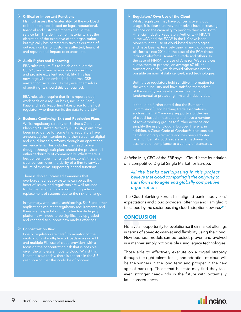#### $\triangleright$  Critical or Important Functions

to be outsourced, based on legal, reputational, financial and customer impacts should the service fail. The definition of materiality is at the discretion of the executive of the organisation, but typically has parameters such as duration of outage, number of customers affected, financial

#### $\triangleright$  Audit Rights and Reporting

EBA rules require FIs to be able to audit the now largely been embodied in normal CSP master contracts, and FIs may avail themselves of audit rights should this be required.

EBA rules also require that firms report cloud workloads on a regular basis, including SaaS, regulator, who then remits the data to the EBA.

#### $\triangleright$  Business Continuity, Exit and Resolution Plans

Whilst regulatory scrutiny on Business Continuity Planning / Disaster Recovery (BCP/DR) plans have announced the intention to further scrutinise digital and cloud-based platforms through an operational thought through exit plans should the provider fail either technically of commercially. Whilst there is clear concern over the ability of a firm to survive failure of systems supporting 'critical functions'.

There is also an increased awareness that overburdened legacy systems can be at the heart of issues, and regulators are well attuned to FIs' management avoiding the upgrade or replacement of systems due to the risk of change.

In summary, with careful architecting, SaaS and other applications can meet regulatory requirements, and there is an expectation that often fragile legacy platforms will need to be significantly upgraded and changed to support new market offerings.

#### $\triangleright$  Concentration Risk

Finally, regulators are carefully monitoring the implications of multiple workloads in a single FI and multiple FIs' use of cloud providers with a given the wholesale move to cloud. Whilst this is not an issue today, there is concern in the 3-5-

#### $\triangleright$  Regulators' Own Use of the Cloud

Whilst regulators may have concerns over cloud usage, it is clear that they themselves have increasing reliance on the capability to perform their role. Both Financial Industry Regulatory Authority (FINRA15) in the USA and the FCA<sup>16</sup> in the UK have been pioneers in the use of cloud-based technologies and have been extensively using many cloud-based platforms since 2014. In the case of the FCA these allows them to process, on average 67 billion transactions a day, which would otherwise not be possible on normal data centre-based technologies.

Both these regulators hold sensitive information for fundamental to protecting firm and industry data.

It should be further noted that the European Commission<sup>17</sup>, and banking trade associations such as the EBF<sup>18</sup> are very supportive of the use of cloud-based infrastructure and have a number of active working groups to further advance and addition, a Cloud Code of Conduct<sup>19</sup> that sets out certification requirements and has been adopted by a number of cloud leaders as a mechanism of assurance of compliance to a variety of standards.

As Wim Mijs, CEO of the EBF says: "Cloud is the foundation of a competitive Digital Single Market for Europe.

*All the banks participating in this project believe that cloud computing is the only way to transform into agile and globally competitive organisations.* 

The Cloud Banking Forum has aligned bank supervisors' expectations and cloud providers' offerings and I am glad it is echoed by the sector pushing cloud adoption upwards<sup>20</sup>."

#### **CONCLUSION**

**CONCLU**<br>
Fls have an<br>
in terms of<br>
New busin<br>
in a manne<br>
Those abl FIs have an opportunity to revolutionise their market offerings in terms of speed-to-market and flexibility using the cloud. New business models can be tested, proven and evolved in a manner simply not possible using legacy technologies.

Those able to effectively execute on a digital strategy through the right talent, focus, and adoption of cloud will be the winners in the long term and prosper in the new age of banking. Those that hesitate may find they face even stronger headwinds in the future with potentially fatal consequences.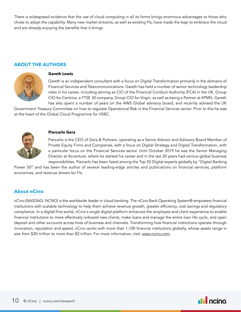There is widespread evidence that the use of cloud computing in all its forms brings enormous advantages to those who chose to adopt the capability. Many new market entrants, as well as existing FIs, have made the leap to embrace the cloud and are already enjoying the benefits that it brings.

# **ABOUT THE AUTHORS**



#### **Gareth Lewis**

Gareth is an independent consultant with a focus on Digital Transformation primarily in the domains of Financial Services and Telecommunications. Gareth has held a number of senior technology leadership roles in his career, including serving as CIO of the Financial Conduct Authority (FCA) in the UK, Group CIO for Centrica, a FTSE 30 company, Group CIO for Virgin, as well as being a Partner at KPMG. Gareth has also spent a number of years on the AWS Global advisory board, and recently advised the UK

Government Treasury Committee on how to regulate Operational Risk in the Financial Services sector. Prior to this he was at the heart of the Global Cloud Programme for HSBC.



#### **Piercarlo Gera**

Piercarlo is the CEO of Gera & Partners, operating as a Senior Advisor and Advisory Board Member of Private Equity Firms and Companies, with a focus on Digital Strategy and Digital Transformation, with a particular focus on the Financial Services sector. Until October 2019 he was the Senior Managing Director at Accenture, where he started his career and in the last 20 years had various global business responsibilities. Piercarlo has been listed among the Top 50 Digital experts globally by "Digital Banking

Power 50" and has been the author of several leading-edge articles and publications on financial services, platform economies, and revenue drivers for FIs.

#### **About nCino**

nCino (NASDAQ: NCNO) is the worldwide leader in cloud banking. The nCino Bank Operating System® empowers financial institutions with scalable technology to help them achieve revenue growth, greater efficiency, cost savings and regulatory compliance. In a digital-first world, nCino's single digital platform enhances the employee and client experience to enable financial institutions to more effectively onboard new clients, make loans and manage the entire loan life cycle, and open deposit and other accounts across lines of business and channels. Transforming how financial institutions operate through innovation, reputation and speed, nCino works with more than 1,100 financial institutions globally, whose assets range in size from \$30 million to more than \$2 trillion. For more information, visit: [www.ncino.com](http://www.ncino.com).